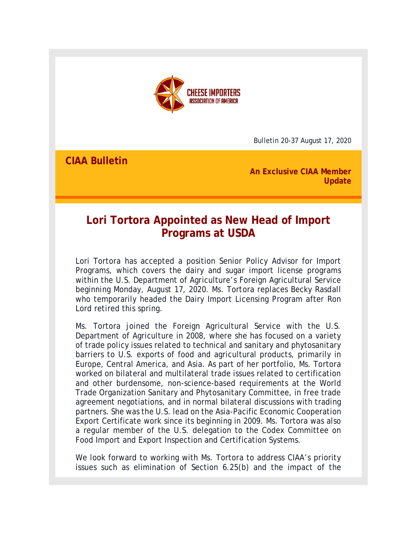

Bulletin 20-37 August 17, 2020

**CIAA Bulletin** 

**An Exclusive CIAA Member Update**

# **Lori Tortora Appointed as New Head of Import Programs at USDA**

Lori Tortora has accepted a position Senior Policy Advisor for Import Programs, which covers the dairy and sugar import license programs within the U.S. Department of Agriculture's Foreign Agricultural Service beginning Monday, August 17, 2020. Ms. Tortora replaces Becky Rasdall who temporarily headed the Dairy Import Licensing Program after Ron Lord retired this spring.

Ms. Tortora joined the Foreign Agricultural Service with the U.S. Department of Agriculture in 2008, where she has focused on a variety of trade policy issues related to technical and sanitary and phytosanitary barriers to U.S. exports of food and agricultural products, primarily in Europe, Central America, and Asia. As part of her portfolio, Ms. Tortora worked on bilateral and multilateral trade issues related to certification and other burdensome, non-science-based requirements at the World Trade Organization Sanitary and Phytosanitary Committee, in free trade agreement negotiations, and in normal bilateral discussions with trading partners. She was the U.S. lead on the Asia-Pacific Economic Cooperation Export Certificate work since its beginning in 2009. Ms. Tortora was also a regular member of the U.S. delegation to the Codex Committee on Food Import and Export Inspection and Certification Systems.

We look forward to working with Ms. Tortora to address CIAA's priority issues such as elimination of Section 6.25(b) and the impact of the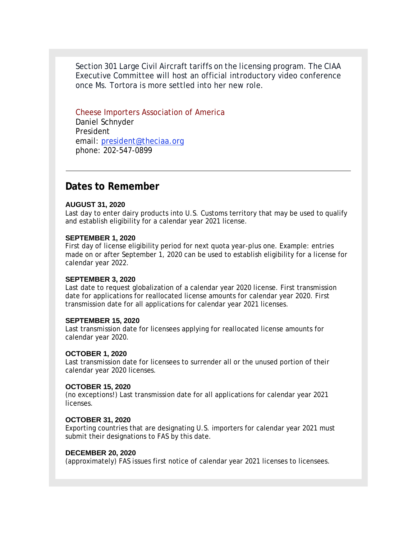Section 301 Large Civil Aircraft tariffs on the licensing program. The CIAA Executive Committee will host an official introductory video conference once Ms. Tortora is more settled into her new role.

Cheese Importers Association of America Daniel Schnyder President email: president@theciaa.org phone: 202-547-0899

# **Dates to Remember**

#### **AUGUST 31, 2020**

Last day to enter dairy products into U.S. Customs territory that may be used to qualify and establish eligibility for a calendar year 2021 license.

#### **SEPTEMBER 1, 2020**

First day of license eligibility period for next quota year-plus one. Example: entries made on or after September 1, 2020 can be used to establish eligibility for a license for calendar year 2022.

#### **SEPTEMBER 3, 2020**

Last date to request globalization of a calendar year 2020 license. First transmission date for applications for reallocated license amounts for calendar year 2020. First transmission date for all applications for calendar year 2021 licenses.

#### **SEPTEMBER 15, 2020**

Last transmission date for licensees applying for reallocated license amounts for calendar year 2020.

## **OCTOBER 1, 2020**

Last transmission date for licensees to surrender all or the unused portion of their calendar year 2020 licenses.

#### **OCTOBER 15, 2020**

(no exceptions!) Last transmission date for all applications for calendar year 2021 licenses.

## **OCTOBER 31, 2020**

Exporting countries that are designating U.S. importers for calendar year 2021 must submit their designations to FAS by this date.

## **DECEMBER 20, 2020**

(approximately) FAS issues first notice of calendar year 2021 licenses to licensees.